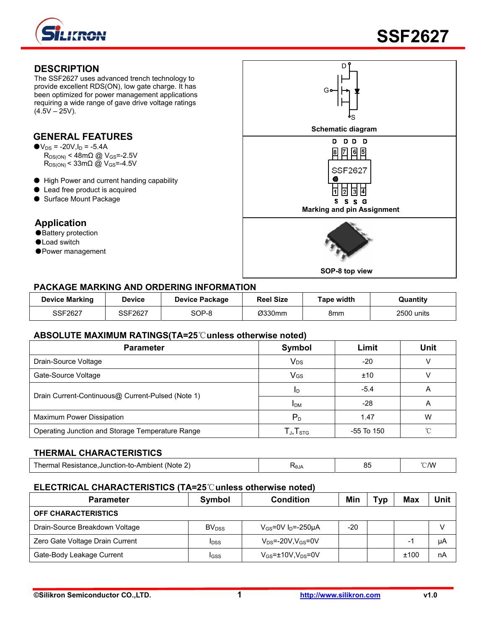



# **DESCRIPTION**

The SSF2627 uses advanced trench technology to provide excellent RDS(ON), low gate charge. It has been optimized for power management applications requiring a wide range of gave drive voltage ratings  $(4.5V - 25V)$ .

# **GENERAL FEATURES**

 $\bullet$  V<sub>DS</sub> = -20V, I<sub>D</sub> = -5.4A  $R_{DS(ON)}$  < 48m $\Omega$  @ V<sub>GS</sub>=-2.5V  $R_{DS(ON)}$  < 33m $\Omega$  @ V<sub>GS</sub>=-4.5V

- High Power and current handing capability
- Lead free product is acquired
- Surface Mount Package

# **Application**

- ●Battery protection
- ●Load switch
- ●Power management



# **PACKAGE MARKING AND ORDERING INFORMATION**

| <b>Device Marking</b> | Device  | Device Package | <b>Reel Size</b> | Tape width | Quantity   |
|-----------------------|---------|----------------|------------------|------------|------------|
| SSF2627               | SSF2627 | SOP-8          | Ø330mm           | 8mm        | 2500 units |

## **ABSOLUTE MAXIMUM RATINGS(TA=25**℃**unless otherwise noted)**

| <b>Parameter</b>                                  | Symbol                                                | Limit        | Unit |
|---------------------------------------------------|-------------------------------------------------------|--------------|------|
| Drain-Source Voltage                              | V <sub>DS</sub>                                       | -20          |      |
| Gate-Source Voltage                               | VGS                                                   | ±10          |      |
| Drain Current-Continuous@ Current-Pulsed (Note 1) | ID                                                    | $-5.4$       | A    |
|                                                   | <b>IDM</b>                                            | $-28$        | A    |
| Maximum Power Dissipation                         | $P_D$                                                 | 1.47         | W    |
| Operating Junction and Storage Temperature Range  | ${\mathsf T}_{\mathsf J}, {\mathsf T}_{\textsf{STG}}$ | $-55$ To 150 |      |

# **THERMAL CHARACTERISTICS**

| Thermal Resistance.Junction-to-Ambient (Note 2) | AlθZ |  | C/W |
|-------------------------------------------------|------|--|-----|
|-------------------------------------------------|------|--|-----|

## **ELECTRICAL CHARACTERISTICS (TA=25**℃**unless otherwise noted)**

| <b>Parameter</b>                | Symbol                   | <b>Condition</b>                    | Min   | Tvp | Max  | Unit |
|---------------------------------|--------------------------|-------------------------------------|-------|-----|------|------|
| <b>OFF CHARACTERISTICS</b>      |                          |                                     |       |     |      |      |
| Drain-Source Breakdown Voltage  | <b>BV</b> <sub>DSS</sub> | $V_{GS}$ =0V I <sub>D</sub> =-250µA | $-20$ |     |      |      |
| Zero Gate Voltage Drain Current | <b>I</b> DSS             | $V_{DS}$ =-20V, $V_{GS}$ =0V        |       |     | -    | μA   |
| Gate-Body Leakage Current       | IGSS                     | $V_{GS}$ =±10V,V <sub>DS</sub> =0V  |       |     | ±100 | nA   |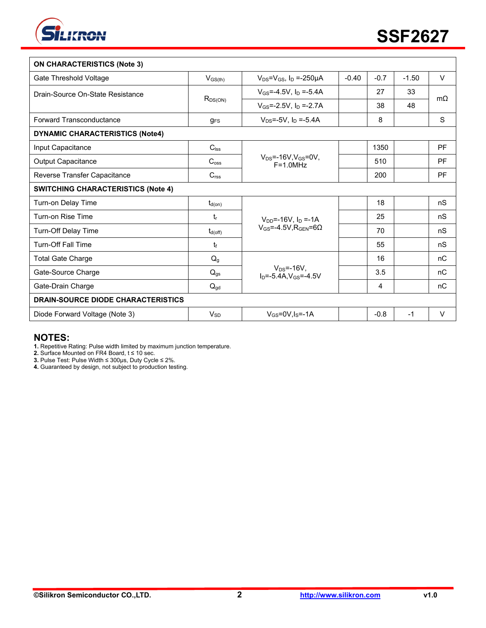

| <b>ON CHARACTERISTICS (Note 3)</b>        |                       |                                                     |         |        |         |           |  |  |
|-------------------------------------------|-----------------------|-----------------------------------------------------|---------|--------|---------|-----------|--|--|
| Gate Threshold Voltage                    | $V_{GS(th)}$          | $V_{DS} = V_{GS}$ , $I_D = -250 \mu A$              | $-0.40$ | $-0.7$ | $-1.50$ | V         |  |  |
| Drain-Source On-State Resistance          | $R_{DS(ON)}$          | $V_{GS} = -4.5V$ , $I_D = -5.4A$                    |         | 27     | 33      | $m\Omega$ |  |  |
|                                           |                       | $V_{GS}$ =-2.5V, $I_D$ =-2.7A                       |         | 38     | 48      |           |  |  |
| Forward Transconductance                  | $g_{FS}$              | $V_{DS} = -5V$ , $I_D = -5.4A$                      |         | 8      |         | S         |  |  |
| <b>DYNAMIC CHARACTERISTICS (Note4)</b>    |                       |                                                     |         |        |         |           |  |  |
| Input Capacitance                         | $C_{\text{lss}}$      |                                                     |         | 1350   |         | <b>PF</b> |  |  |
| Output Capacitance                        | $C_{\rm oss}$         | $V_{DS}$ =-16V, $V_{GS}$ =0V,<br>$F = 1.0 MHz$      |         | 510    |         | <b>PF</b> |  |  |
| Reverse Transfer Capacitance              | C <sub>rss</sub>      |                                                     |         | 200    |         | <b>PF</b> |  |  |
| <b>SWITCHING CHARACTERISTICS (Note 4)</b> |                       |                                                     |         |        |         |           |  |  |
| Turn-on Delay Time                        | $t_{d(on)}$           |                                                     |         | 18     |         | nS        |  |  |
| Turn-on Rise Time                         | $t_{r}$               | $V_{DD} = -16V$ . In $= -1A$                        |         | 25     |         | nS        |  |  |
| Turn-Off Delay Time                       | $t_{d(\mathrm{off})}$ | $V_{GS} = -4.5V$ . RGEN=60                          |         | 70     |         | nS        |  |  |
| <b>Turn-Off Fall Time</b>                 | t                     |                                                     |         | 55     |         | nS        |  |  |
| <b>Total Gate Charge</b>                  | $Q_g$                 | $V_{DS}$ =-16V,<br>$I_D = -5.4A$ , $V_{GS} = -4.5V$ |         | 16     |         | nC        |  |  |
| Gate-Source Charge                        | $Q_{gs}$              |                                                     |         | 3.5    |         | nС        |  |  |
| Gate-Drain Charge                         | $Q_{\text{gd}}$       |                                                     |         | 4      |         | nС        |  |  |
| <b>DRAIN-SOURCE DIODE CHARACTERISTICS</b> |                       |                                                     |         |        |         |           |  |  |
| Diode Forward Voltage (Note 3)            | $V_{SD}$              | $V_{GS}$ =0V, $I_S$ =-1A                            |         | $-0.8$ | $-1$    | V         |  |  |

# **NOTES:**

**1.** Repetitive Rating: Pulse width limited by maximum junction temperature.

**2.** Surface Mounted on FR4 Board, t ≤ 10 sec.

**3.** Pulse Test: Pulse Width ≤ 300μs, Duty Cycle ≤ 2%.

**4.** Guaranteed by design, not subject to production testing.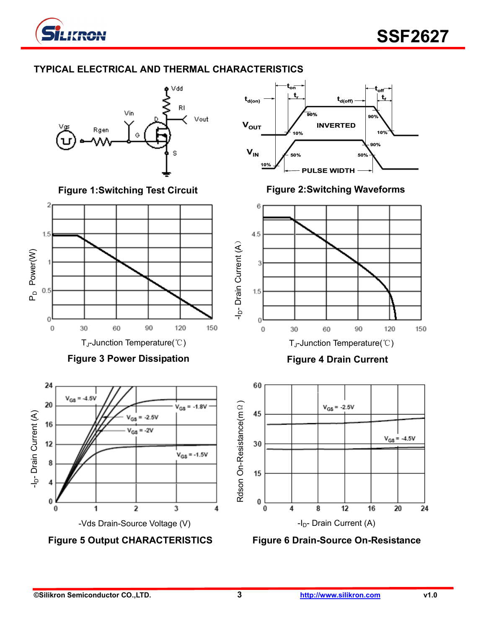

# **TYPICAL ELECTRICAL AND THERMAL CHARACTERISTICS**



**Figure 1:Switching Test Circuit Figure 2:Switching Waveforms** 



**Figure 3 Power Dissipation** 



**Figure 5 Output CHARACTERISTICS Figure 6 Drain-Source On-Resistance**





**Figure 4 Drain Current** 

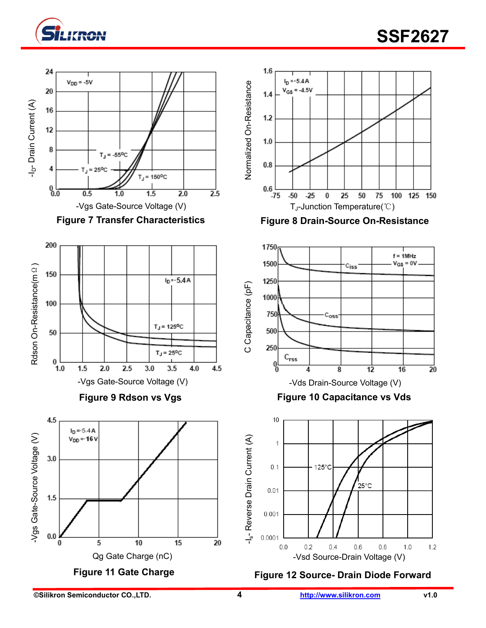











Figure 9 Rdson vs Vgs **Figure 10 Capacitance vs Vds** 

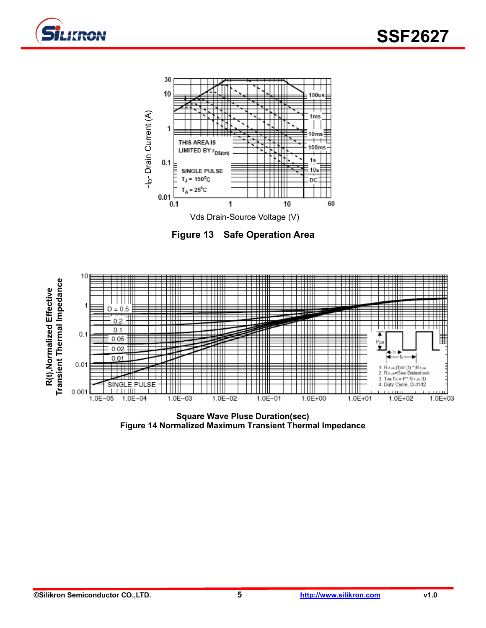



**Figure 13 Safe Operation Area** 



**Square Wave Pluse Duration(sec) Figure 14 Normalized Maximum Transient Thermal Impedance**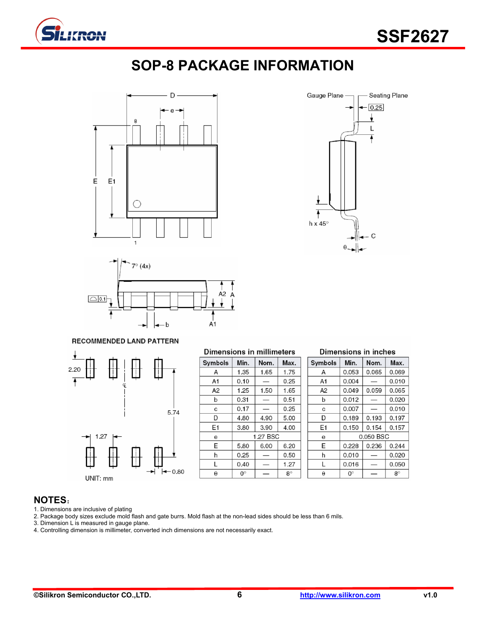

# **SOP-8 PACKAGE INFORMATION**







#### RECOMMENDED LAND PATTERN



#### **Dimensions in millimeters** Symbols Min. Nom. Max.  $1.35$  $1.65$  $1.75$ A A<sub>1</sub>  $0.10$ 0.25  $A2$  $1.25$ 1.65 1.50  $\overline{b}$  $0.31$ 0.51  $\overline{\phantom{m}}$  $0.17$  $0.25$  $\mathbf{C}$  $\overline{\phantom{0}}$ D 4.80 4.90 5.00 E<sub>1</sub> 3.80 3.90 4.00 1.27 BSC  $\boldsymbol{\mathsf{e}}$ E 5.80 6.00 6.20 h 0.25  $\frac{1}{2}$ 0.50 L  $0.40$ 1.27  $\overline{\phantom{0}}$  $\boldsymbol{\theta}$  $0^\circ$  $8^\circ$

### Dimensions in inches

| Symbols | Min.      | Nom.  | Max.      |  |
|---------|-----------|-------|-----------|--|
| А       | 0.053     | 0.065 | 0.069     |  |
| A1      | 0.004     |       | 0.010     |  |
| A2      | 0.049     | 0.059 | 0.065     |  |
| b       | 0.012     |       | 0.020     |  |
| C       | 0.007     |       | 0.010     |  |
| D       | 0.189     | 0.193 | 0.197     |  |
| E1      | 0.150     | 0.154 | 0.157     |  |
| e       | 0.050 BSC |       |           |  |
| E       | 0.228     | 0.236 | 0.244     |  |
| h       | 0.010     |       | 0.020     |  |
| L       | 0.016     |       | 0.050     |  |
| θ       | 0°        |       | $8^\circ$ |  |

# **NOTES**:

- 1. Dimensions are inclusive of plating
- 2. Package body sizes exclude mold flash and gate burrs. Mold flash at the non-lead sides should be less than 6 mils.
- 3. Dimension L is measured in gauge plane.
- 4. Controlling dimension is millimeter, converted inch dimensions are not necessarily exact.